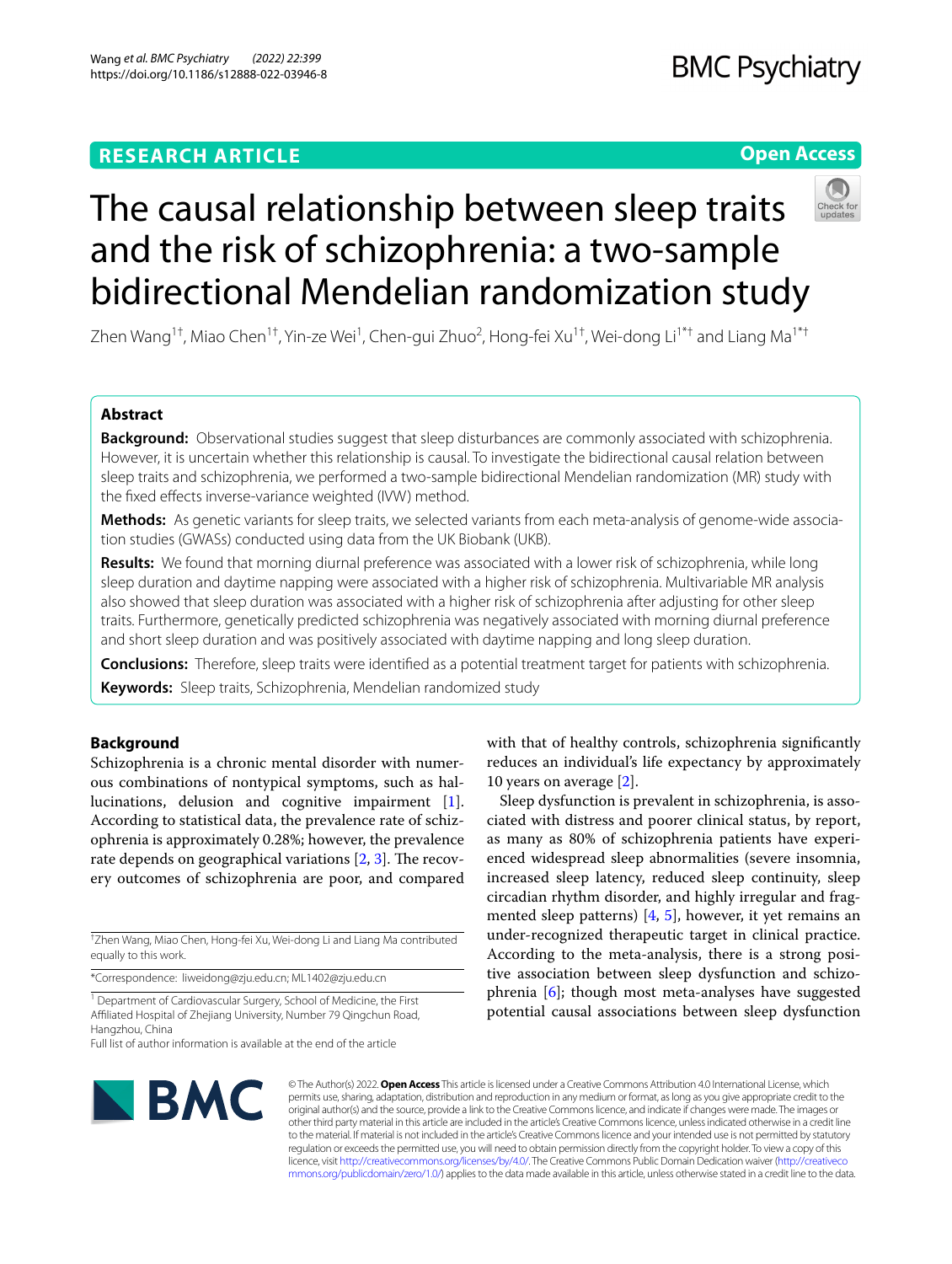# **RESEARCH ARTICLE**

# **Open Access**



# The causal relationship between sleep traits and the risk of schizophrenia: a two-sample bidirectional Mendelian randomization study

Zhen Wang<sup>1†</sup>, Miao Chen<sup>1†</sup>, Yin-ze Wei<sup>1</sup>, Chen-gui Zhuo<sup>2</sup>, Hong-fei Xu<sup>1†</sup>, Wei-dong Li<sup>1\*†</sup> and Liang Ma<sup>1\*†</sup>

# **Abstract**

**Background:** Observational studies suggest that sleep disturbances are commonly associated with schizophrenia. However, it is uncertain whether this relationship is causal. To investigate the bidirectional causal relation between sleep traits and schizophrenia, we performed a two-sample bidirectional Mendelian randomization (MR) study with the fixed effects inverse-variance weighted (IVW) method.

Methods: As genetic variants for sleep traits, we selected variants from each meta-analysis of genome-wide association studies (GWASs) conducted using data from the UK Biobank (UKB).

**Results:** We found that morning diurnal preference was associated with a lower risk of schizophrenia, while long sleep duration and daytime napping were associated with a higher risk of schizophrenia. Multivariable MR analysis also showed that sleep duration was associated with a higher risk of schizophrenia after adjusting for other sleep traits. Furthermore, genetically predicted schizophrenia was negatively associated with morning diurnal preference and short sleep duration and was positively associated with daytime napping and long sleep duration.

**Conclusions:** Therefore, sleep traits were identifed as a potential treatment target for patients with schizophrenia.

**Keywords:** Sleep traits, Schizophrenia, Mendelian randomized study

# **Background**

Schizophrenia is a chronic mental disorder with numerous combinations of nontypical symptoms, such as hallucinations, delusion and cognitive impairment [\[1](#page-5-0)]. According to statistical data, the prevalence rate of schizophrenia is approximately 0.28%; however, the prevalence rate depends on geographical variations  $[2, 3]$  $[2, 3]$  $[2, 3]$  $[2, 3]$ . The recovery outcomes of schizophrenia are poor, and compared

† Zhen Wang, Miao Chen, Hong-fei Xu, Wei-dong Li and Liang Ma contributed equally to this work.

\*Correspondence: liweidong@zju.edu.cn; ML1402@zju.edu.cn

<sup>1</sup> Department of Cardiovascular Surgery, School of Medicine, the First Afliated Hospital of Zhejiang University, Number 79 Qingchun Road, Hangzhou, China

Full list of author information is available at the end of the article



© The Author(s) 2022. **Open Access** This article is licensed under a Creative Commons Attribution 4.0 International License, which permits use, sharing, adaptation, distribution and reproduction in any medium or format, as long as you give appropriate credit to the original author(s) and the source, provide a link to the Creative Commons licence, and indicate if changes were made. The images or other third party material in this article are included in the article's Creative Commons licence, unless indicated otherwise in a credit line to the material. If material is not included in the article's Creative Commons licence and your intended use is not permitted by statutory regulation or exceeds the permitted use, you will need to obtain permission directly from the copyright holder. To view a copy of this licence, visit [http://creativecommons.org/licenses/by/4.0/.](http://creativecommons.org/licenses/by/4.0/) The Creative Commons Public Domain Dedication waiver ([http://creativeco](http://creativecommons.org/publicdomain/zero/1.0/) [mmons.org/publicdomain/zero/1.0/](http://creativecommons.org/publicdomain/zero/1.0/)) applies to the data made available in this article, unless otherwise stated in a credit line to the data.

with that of healthy controls, schizophrenia significantly reduces an individual's life expectancy by approximately 10 years on average [\[2](#page-5-1)].

Sleep dysfunction is prevalent in schizophrenia, is associated with distress and poorer clinical status, by report, as many as 80% of schizophrenia patients have experienced widespread sleep abnormalities (severe insomnia, increased sleep latency, reduced sleep continuity, sleep circadian rhythm disorder, and highly irregular and fragmented sleep patterns) [[4,](#page-5-3) [5\]](#page-5-4), however, it yet remains an under-recognized therapeutic target in clinical practice. According to the meta-analysis, there is a strong positive association between sleep dysfunction and schizophrenia [\[6](#page-5-5)]; though most meta-analyses have suggested potential causal associations between sleep dysfunction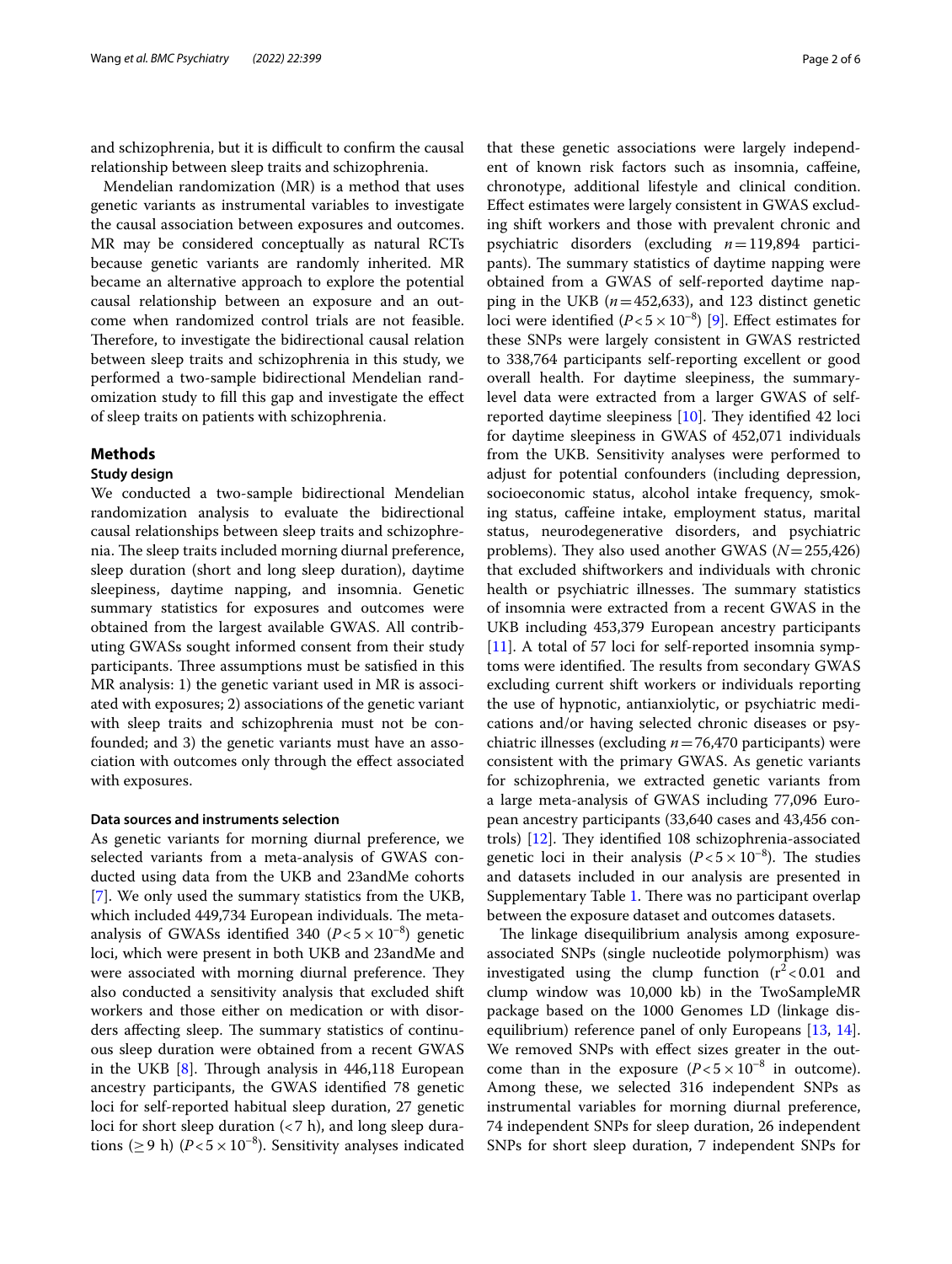and schizophrenia, but it is difficult to confirm the causal relationship between sleep traits and schizophrenia.

Mendelian randomization (MR) is a method that uses genetic variants as instrumental variables to investigate the causal association between exposures and outcomes. MR may be considered conceptually as natural RCTs because genetic variants are randomly inherited. MR became an alternative approach to explore the potential causal relationship between an exposure and an outcome when randomized control trials are not feasible. Therefore, to investigate the bidirectional causal relation between sleep traits and schizophrenia in this study, we performed a two-sample bidirectional Mendelian randomization study to fll this gap and investigate the efect of sleep traits on patients with schizophrenia.

## **Methods**

#### **Study design**

We conducted a two-sample bidirectional Mendelian randomization analysis to evaluate the bidirectional causal relationships between sleep traits and schizophrenia. The sleep traits included morning diurnal preference, sleep duration (short and long sleep duration), daytime sleepiness, daytime napping, and insomnia. Genetic summary statistics for exposures and outcomes were obtained from the largest available GWAS. All contributing GWASs sought informed consent from their study participants. Three assumptions must be satisfied in this MR analysis: 1) the genetic variant used in MR is associated with exposures; 2) associations of the genetic variant with sleep traits and schizophrenia must not be confounded; and 3) the genetic variants must have an association with outcomes only through the efect associated with exposures.

## **Data sources and instruments selection**

As genetic variants for morning diurnal preference, we selected variants from a meta-analysis of GWAS conducted using data from the UKB and 23andMe cohorts [[7\]](#page-5-6). We only used the summary statistics from the UKB, which included 449,734 European individuals. The metaanalysis of GWASs identified 340  $(P<5\times10^{-8})$  genetic loci, which were present in both UKB and 23andMe and were associated with morning diurnal preference. They also conducted a sensitivity analysis that excluded shift workers and those either on medication or with disorders affecting sleep. The summary statistics of continuous sleep duration were obtained from a recent GWAS in the UKB  $[8]$  $[8]$ . Through analysis in 446,118 European ancestry participants, the GWAS identifed 78 genetic loci for self-reported habitual sleep duration, 27 genetic loci for short sleep duration (<7 h), and long sleep durations ( $\geq$  9 h) ( $P$ <5 × 10<sup>-8</sup>). Sensitivity analyses indicated that these genetic associations were largely independent of known risk factors such as insomnia, cafeine, chronotype, additional lifestyle and clinical condition. Efect estimates were largely consistent in GWAS excluding shift workers and those with prevalent chronic and psychiatric disorders (excluding *n*=119,894 participants). The summary statistics of daytime napping were obtained from a GWAS of self-reported daytime napping in the UKB  $(n=452,633)$ , and 123 distinct genetic loci were identified  $(P < 5 \times 10^{-8})$  [[9](#page-5-8)]. Effect estimates for these SNPs were largely consistent in GWAS restricted to 338,764 participants self-reporting excellent or good overall health. For daytime sleepiness, the summarylevel data were extracted from a larger GWAS of selfreported daytime sleepiness  $[10]$  $[10]$ . They identified 42 loci for daytime sleepiness in GWAS of 452,071 individuals from the UKB. Sensitivity analyses were performed to adjust for potential confounders (including depression, socioeconomic status, alcohol intake frequency, smoking status, cafeine intake, employment status, marital status, neurodegenerative disorders, and psychiatric problems). They also used another GWAS  $(N=255,426)$ that excluded shiftworkers and individuals with chronic health or psychiatric illnesses. The summary statistics of insomnia were extracted from a recent GWAS in the UKB including 453,379 European ancestry participants [[11\]](#page-5-10). A total of 57 loci for self-reported insomnia symptoms were identified. The results from secondary GWAS excluding current shift workers or individuals reporting the use of hypnotic, antianxiolytic, or psychiatric medications and/or having selected chronic diseases or psychiatric illnesses (excluding *n*=76,470 participants) were consistent with the primary GWAS. As genetic variants for schizophrenia, we extracted genetic variants from a large meta-analysis of GWAS including 77,096 European ancestry participants (33,640 cases and 43,456 controls)  $[12]$ . They identified 108 schizophrenia-associated genetic loci in their analysis  $(P<5\times10^{-8})$ . The studies and datasets included in our analysis are presented in Supplementary Table [1](#page-5-12). There was no participant overlap between the exposure dataset and outcomes datasets.

The linkage disequilibrium analysis among exposureassociated SNPs (single nucleotide polymorphism) was investigated using the clump function  $(r^2 < 0.01$  and clump window was 10,000 kb) in the TwoSampleMR package based on the 1000 Genomes LD (linkage dis-equilibrium) reference panel of only Europeans [[13,](#page-5-13) [14](#page-5-14)]. We removed SNPs with efect sizes greater in the outcome than in the exposure  $(P<5\times10^{-8}$  in outcome). Among these, we selected 316 independent SNPs as instrumental variables for morning diurnal preference, 74 independent SNPs for sleep duration, 26 independent SNPs for short sleep duration, 7 independent SNPs for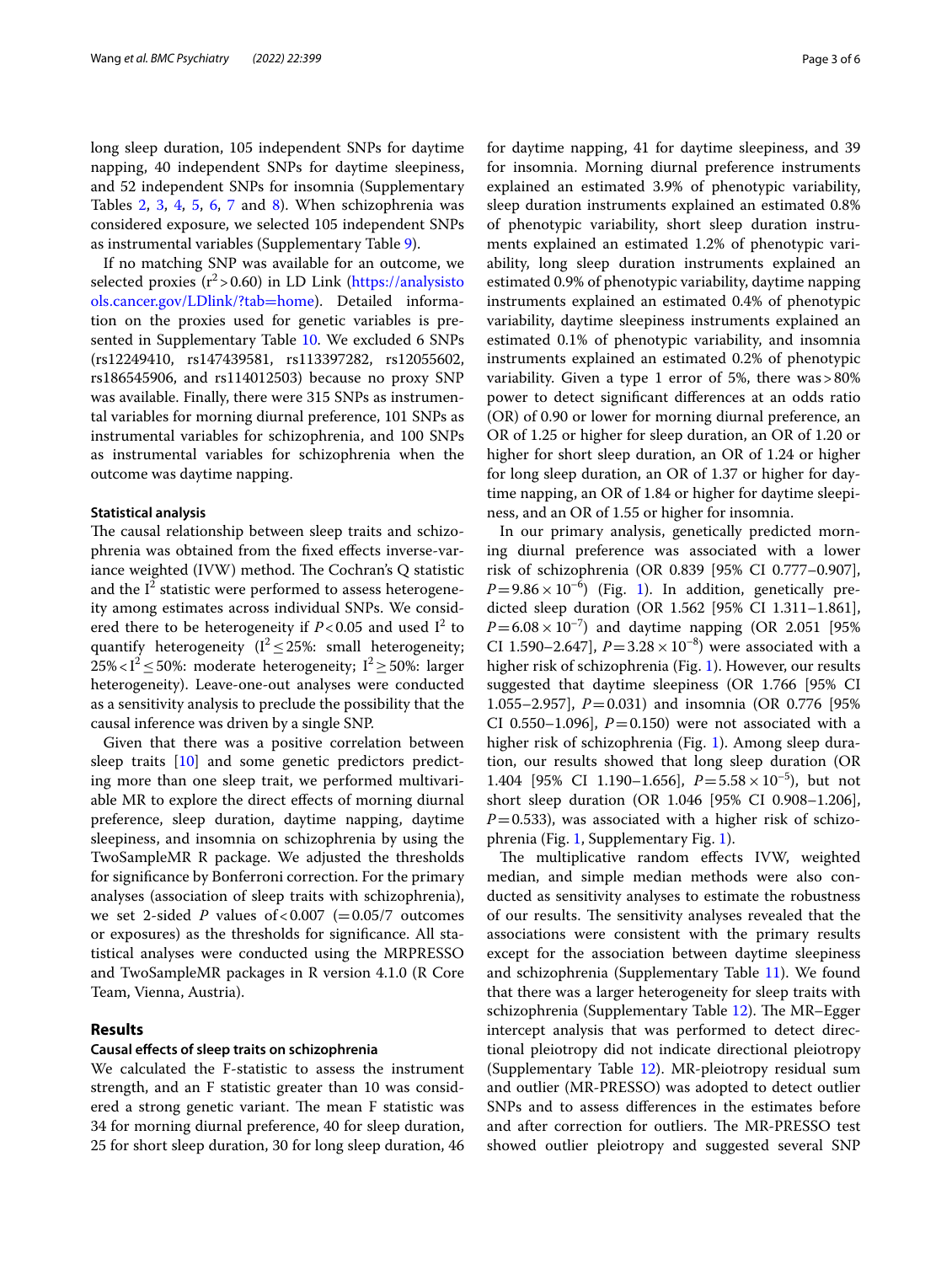long sleep duration, 105 independent SNPs for daytime napping, 40 independent SNPs for daytime sleepiness, and 52 independent SNPs for insomnia (Supplementary Tables [2,](#page-5-12) [3,](#page-5-12) [4,](#page-5-12) [5,](#page-5-12) [6](#page-5-12), [7](#page-5-12) and [8](#page-5-12)). When schizophrenia was considered exposure, we selected 105 independent SNPs as instrumental variables (Supplementary Table [9\)](#page-5-12).

If no matching SNP was available for an outcome, we selected proxies  $(r^2 > 0.60)$  in LD Link [\(https://analysisto](https://analysistools.cancer.gov/LDlink/?tab=home) [ols.cancer.gov/LDlink/?tab](https://analysistools.cancer.gov/LDlink/?tab=home)=home). Detailed information on the proxies used for genetic variables is presented in Supplementary Table [10.](#page-5-12) We excluded 6 SNPs (rs12249410, rs147439581, rs113397282, rs12055602, rs186545906, and rs114012503) because no proxy SNP was available. Finally, there were 315 SNPs as instrumental variables for morning diurnal preference, 101 SNPs as instrumental variables for schizophrenia, and 100 SNPs as instrumental variables for schizophrenia when the outcome was daytime napping.

## **Statistical analysis**

The causal relationship between sleep traits and schizophrenia was obtained from the fxed efects inverse-variance weighted  $(IVW)$  method. The Cochran's  $Q$  statistic and the  $I^2$  statistic were performed to assess heterogeneity among estimates across individual SNPs. We considered there to be heterogeneity if  $P < 0.05$  and used  $I^2$  to quantify heterogeneity ( $I^2 \le 25\%$ : small heterogeneity; 25%<1<sup>2</sup> ≤ 50%: moderate heterogeneity;  $I^2 \ge 50$ %: larger heterogeneity). Leave-one-out analyses were conducted as a sensitivity analysis to preclude the possibility that the causal inference was driven by a single SNP.

Given that there was a positive correlation between sleep traits  $[10]$  $[10]$  and some genetic predictors predicting more than one sleep trait, we performed multivariable MR to explore the direct efects of morning diurnal preference, sleep duration, daytime napping, daytime sleepiness, and insomnia on schizophrenia by using the TwoSampleMR R package. We adjusted the thresholds for signifcance by Bonferroni correction. For the primary analyses (association of sleep traits with schizophrenia), we set 2-sided  $P$  values of <0.007 (=0.05/7 outcomes or exposures) as the thresholds for signifcance. All statistical analyses were conducted using the MRPRESSO and TwoSampleMR packages in R version 4.1.0 (R Core Team, Vienna, Austria).

# **Results**

#### **Causal efects of sleep traits on schizophrenia**

We calculated the F-statistic to assess the instrument strength, and an F statistic greater than 10 was considered a strong genetic variant. The mean F statistic was 34 for morning diurnal preference, 40 for sleep duration, 25 for short sleep duration, 30 for long sleep duration, 46 for daytime napping, 41 for daytime sleepiness, and 39 for insomnia. Morning diurnal preference instruments explained an estimated 3.9% of phenotypic variability, sleep duration instruments explained an estimated 0.8% of phenotypic variability, short sleep duration instruments explained an estimated 1.2% of phenotypic variability, long sleep duration instruments explained an estimated 0.9% of phenotypic variability, daytime napping instruments explained an estimated 0.4% of phenotypic variability, daytime sleepiness instruments explained an estimated 0.1% of phenotypic variability, and insomnia instruments explained an estimated 0.2% of phenotypic variability. Given a type 1 error of 5%, there was>80% power to detect signifcant diferences at an odds ratio (OR) of 0.90 or lower for morning diurnal preference, an OR of 1.25 or higher for sleep duration, an OR of 1.20 or higher for short sleep duration, an OR of 1.24 or higher for long sleep duration, an OR of 1.37 or higher for daytime napping, an OR of 1.84 or higher for daytime sleepiness, and an OR of 1.55 or higher for insomnia.

In our primary analysis, genetically predicted morning diurnal preference was associated with a lower risk of schizophrenia (OR 0.839 [95% CI 0.777–0.907],  $P=9.86\times10^{-6}$  $P=9.86\times10^{-6}$  $P=9.86\times10^{-6}$  (Fig. 1). In addition, genetically predicted sleep duration (OR 1.562 [95% CI 1.311–1.861],  $P = 6.08 \times 10^{-7}$ ) and daytime napping (OR 2.051 [95%] CI 1.590–2.647],  $P = 3.28 \times 10^{-8}$  were associated with a higher risk of schizophrenia (Fig. [1](#page-3-0)). However, our results suggested that daytime sleepiness (OR 1.766 [95% CI 1.055–2.957], *P*=0.031) and insomnia (OR 0.776 [95% CI 0.550–1.096],  $P = 0.150$  were not associated with a higher risk of schizophrenia (Fig. [1](#page-3-0)). Among sleep duration, our results showed that long sleep duration (OR 1.404 [95% CI 1.190–1.656],  $P = 5.58 \times 10^{-5}$ , but not short sleep duration (OR 1.046 [95% CI 0.908–1.206],  $P=0.533$ ), was associated with a higher risk of schizophrenia (Fig. [1,](#page-3-0) Supplementary Fig. [1\)](#page-5-15).

The multiplicative random effects IVW, weighted median, and simple median methods were also conducted as sensitivity analyses to estimate the robustness of our results. The sensitivity analyses revealed that the associations were consistent with the primary results except for the association between daytime sleepiness and schizophrenia (Supplementary Table [11](#page-5-12)). We found that there was a larger heterogeneity for sleep traits with schizophrenia (Supplementary Table [12](#page-5-12)). The MR-Egger intercept analysis that was performed to detect directional pleiotropy did not indicate directional pleiotropy (Supplementary Table [12](#page-5-12)). MR-pleiotropy residual sum and outlier (MR-PRESSO) was adopted to detect outlier SNPs and to assess diferences in the estimates before and after correction for outliers. The MR-PRESSO test showed outlier pleiotropy and suggested several SNP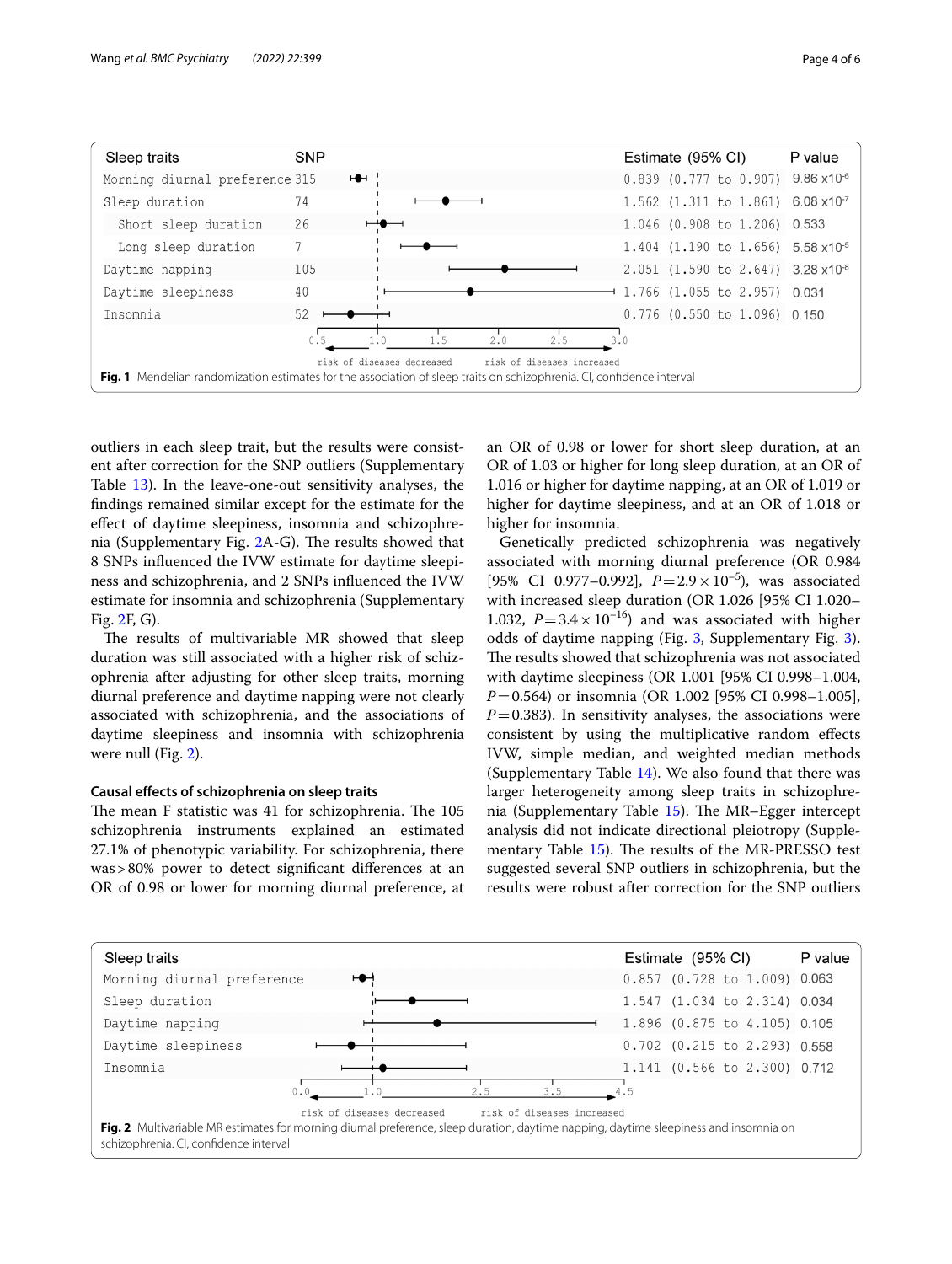

<span id="page-3-0"></span>outliers in each sleep trait, but the results were consistent after correction for the SNP outliers (Supplementary Table [13\)](#page-5-12). In the leave-one-out sensitivity analyses, the fndings remained similar except for the estimate for the efect of daytime sleepiness, insomnia and schizophrenia (Supplementary Fig.  $2A-G$  $2A-G$ ). The results showed that 8 SNPs infuenced the IVW estimate for daytime sleepiness and schizophrenia, and 2 SNPs infuenced the IVW estimate for insomnia and schizophrenia (Supplementary Fig. [2F](#page-5-16), G).

The results of multivariable MR showed that sleep duration was still associated with a higher risk of schizophrenia after adjusting for other sleep traits, morning diurnal preference and daytime napping were not clearly associated with schizophrenia, and the associations of daytime sleepiness and insomnia with schizophrenia were null (Fig. [2\)](#page-3-1).

# **Causal efects of schizophrenia on sleep traits**

The mean F statistic was 41 for schizophrenia. The 105 schizophrenia instruments explained an estimated 27.1% of phenotypic variability. For schizophrenia, there was>80% power to detect signifcant diferences at an OR of 0.98 or lower for morning diurnal preference, at an OR of 0.98 or lower for short sleep duration, at an OR of 1.03 or higher for long sleep duration, at an OR of 1.016 or higher for daytime napping, at an OR of 1.019 or higher for daytime sleepiness, and at an OR of 1.018 or higher for insomnia.

Genetically predicted schizophrenia was negatively associated with morning diurnal preference (OR 0.984 [95% CI 0.977–0.992], *P*=2.9× 10–5), was associated with increased sleep duration (OR 1.026 [95% CI 1.020– 1.032,  $P = 3.4 \times 10^{-16}$ ) and was associated with higher odds of daytime napping (Fig. [3,](#page-4-0) Supplementary Fig. [3](#page-5-17)). The results showed that schizophrenia was not associated with daytime sleepiness (OR 1.001 [95% CI 0.998–1.004, *P*=0.564) or insomnia (OR 1.002 [95% CI 0.998–1.005],  $P=0.383$ ). In sensitivity analyses, the associations were consistent by using the multiplicative random efects IVW, simple median, and weighted median methods (Supplementary Table [14](#page-5-12)). We also found that there was larger heterogeneity among sleep traits in schizophrenia (Supplementary Table  $15$ ). The MR-Egger intercept analysis did not indicate directional pleiotropy (Supple-mentary Table [15\)](#page-5-12). The results of the MR-PRESSO test suggested several SNP outliers in schizophrenia, but the results were robust after correction for the SNP outliers

<span id="page-3-1"></span>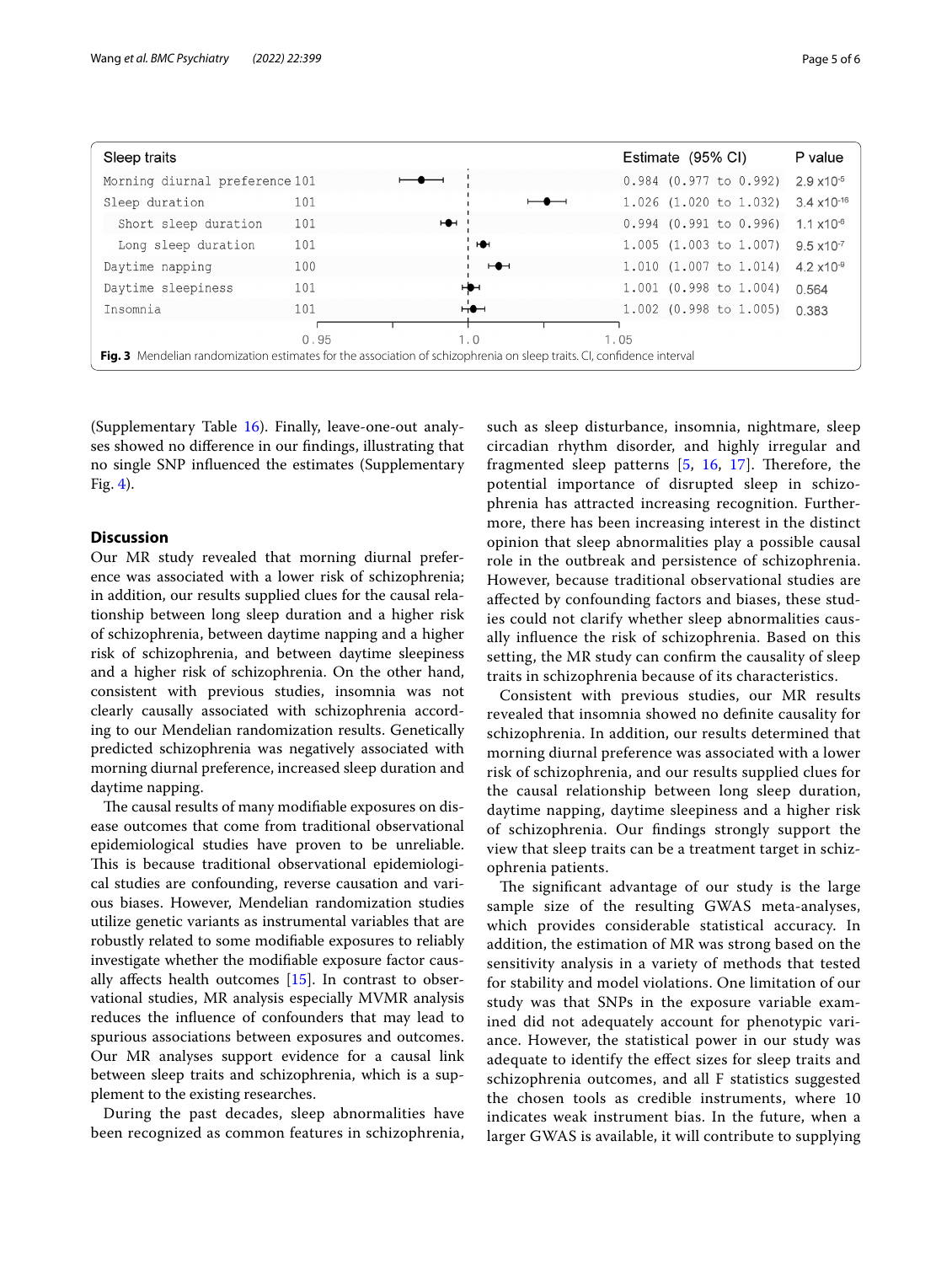| Sleep traits                                                                                                           |      |                          | Estimate (95% CI)            | P value               |
|------------------------------------------------------------------------------------------------------------------------|------|--------------------------|------------------------------|-----------------------|
| Morning diurnal preference 101                                                                                         |      |                          | $0.984$ $(0.977$ to $0.992)$ | $2.9 \times 10^{-5}$  |
| Sleep duration                                                                                                         | 101  |                          | $1.026$ (1.020 to 1.032)     | $3.4 \times 10^{-16}$ |
| Short sleep duration                                                                                                   | 101  | $\overline{ }$           | $0.994$ $(0.991$ to $0.996)$ | $1.1 \times 10^{-6}$  |
| Long sleep duration                                                                                                    | 101  | H                        | $1.005$ (1.003 to 1.007)     | $9.5 \times 10^{-7}$  |
| Daytime napping                                                                                                        | 100  | $\overline{\phantom{a}}$ | 1.010 (1.007 to 1.014)       | $4.2 \times 10^{-9}$  |
| Daytime sleepiness                                                                                                     | 101  | ⊢                        | 1.001 (0.998 to 1.004)       | 0.564                 |
| Insomnia                                                                                                               | 101  | $\neg \bullet \neg$      | $1.002$ (0.998 to 1.005)     | 0.383                 |
|                                                                                                                        | 0.95 | 1.0                      | 1.05                         |                       |
| Fig. 3 Mendelian randomization estimates for the association of schizophrenia on sleep traits. CI, confidence interval |      |                          |                              |                       |

<span id="page-4-0"></span>(Supplementary Table [16](#page-5-12)). Finally, leave-one-out analyses showed no diference in our fndings, illustrating that no single SNP infuenced the estimates (Supplementary Fig. [4\)](#page-5-18).

# **Discussion**

Our MR study revealed that morning diurnal preference was associated with a lower risk of schizophrenia; in addition, our results supplied clues for the causal relationship between long sleep duration and a higher risk of schizophrenia, between daytime napping and a higher risk of schizophrenia, and between daytime sleepiness and a higher risk of schizophrenia. On the other hand, consistent with previous studies, insomnia was not clearly causally associated with schizophrenia according to our Mendelian randomization results. Genetically predicted schizophrenia was negatively associated with morning diurnal preference, increased sleep duration and daytime napping.

The causal results of many modifiable exposures on disease outcomes that come from traditional observational epidemiological studies have proven to be unreliable. This is because traditional observational epidemiological studies are confounding, reverse causation and various biases. However, Mendelian randomization studies utilize genetic variants as instrumental variables that are robustly related to some modifable exposures to reliably investigate whether the modifable exposure factor causally affects health outcomes  $[15]$  $[15]$ . In contrast to observational studies, MR analysis especially MVMR analysis reduces the infuence of confounders that may lead to spurious associations between exposures and outcomes. Our MR analyses support evidence for a causal link between sleep traits and schizophrenia, which is a supplement to the existing researches.

During the past decades, sleep abnormalities have been recognized as common features in schizophrenia, such as sleep disturbance, insomnia, nightmare, sleep circadian rhythm disorder, and highly irregular and fragmented sleep patterns  $[5, 16, 17]$  $[5, 16, 17]$  $[5, 16, 17]$  $[5, 16, 17]$  $[5, 16, 17]$  $[5, 16, 17]$ . Therefore, the potential importance of disrupted sleep in schizophrenia has attracted increasing recognition. Furthermore, there has been increasing interest in the distinct opinion that sleep abnormalities play a possible causal role in the outbreak and persistence of schizophrenia. However, because traditional observational studies are afected by confounding factors and biases, these studies could not clarify whether sleep abnormalities causally infuence the risk of schizophrenia. Based on this setting, the MR study can confrm the causality of sleep traits in schizophrenia because of its characteristics.

Consistent with previous studies, our MR results revealed that insomnia showed no defnite causality for schizophrenia. In addition, our results determined that morning diurnal preference was associated with a lower risk of schizophrenia, and our results supplied clues for the causal relationship between long sleep duration, daytime napping, daytime sleepiness and a higher risk of schizophrenia. Our fndings strongly support the view that sleep traits can be a treatment target in schizophrenia patients.

The significant advantage of our study is the large sample size of the resulting GWAS meta-analyses, which provides considerable statistical accuracy. In addition, the estimation of MR was strong based on the sensitivity analysis in a variety of methods that tested for stability and model violations. One limitation of our study was that SNPs in the exposure variable examined did not adequately account for phenotypic variance. However, the statistical power in our study was adequate to identify the efect sizes for sleep traits and schizophrenia outcomes, and all F statistics suggested the chosen tools as credible instruments, where 10 indicates weak instrument bias. In the future, when a larger GWAS is available, it will contribute to supplying